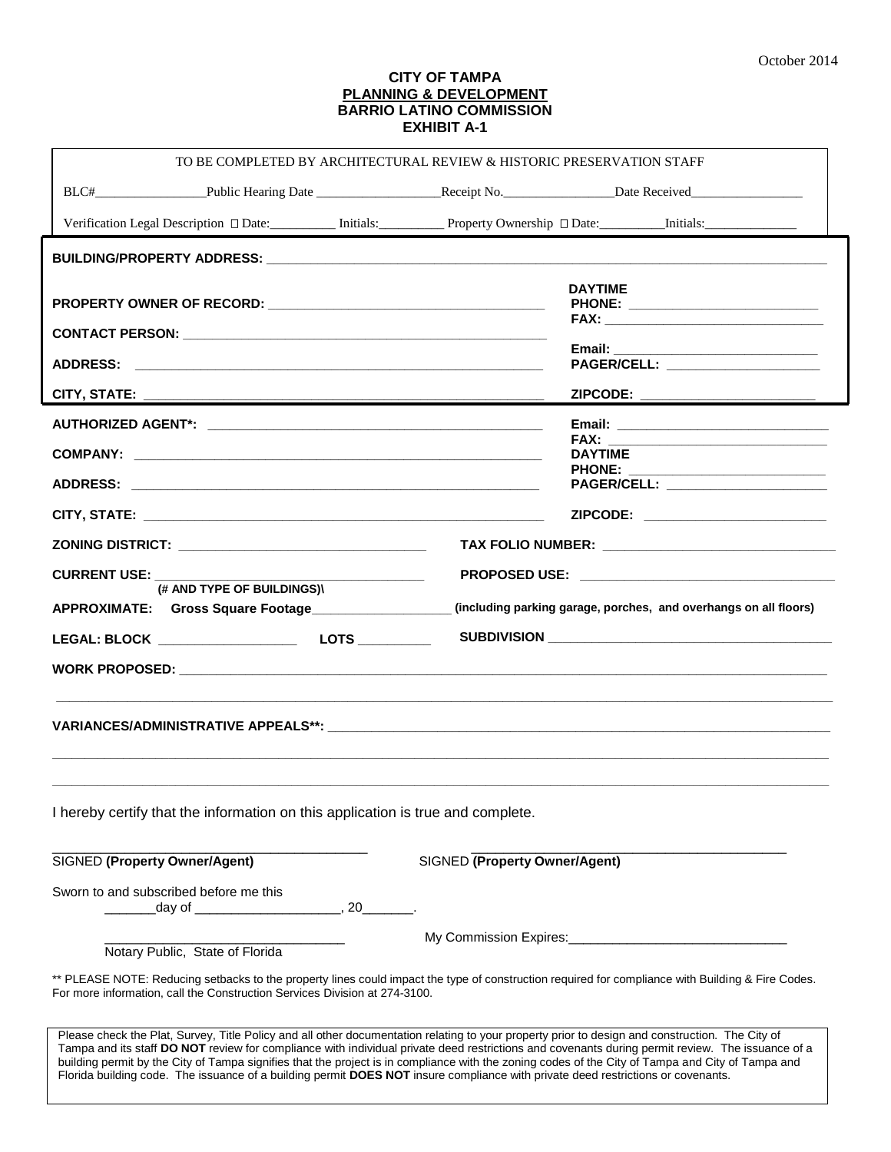#### **CITY OF TAMPA PLANNING & DEVELOPMENT BARRIO LATINO COMMISSION EXHIBIT A-1**

|                                                                                                                                  | TO BE COMPLETED BY ARCHITECTURAL REVIEW & HISTORIC PRESERVATION STAFF                                                                                                                                                                                                                               |
|----------------------------------------------------------------------------------------------------------------------------------|-----------------------------------------------------------------------------------------------------------------------------------------------------------------------------------------------------------------------------------------------------------------------------------------------------|
|                                                                                                                                  |                                                                                                                                                                                                                                                                                                     |
|                                                                                                                                  |                                                                                                                                                                                                                                                                                                     |
|                                                                                                                                  |                                                                                                                                                                                                                                                                                                     |
|                                                                                                                                  | <b>DAYTIME</b>                                                                                                                                                                                                                                                                                      |
|                                                                                                                                  | PHONE: __________________________<br>FAX: The contract of the contract of the contract of the contract of the contract of the contract of the contract of the contract of the contract of the contract of the contract of the contract of the contract of the contr                                 |
|                                                                                                                                  |                                                                                                                                                                                                                                                                                                     |
|                                                                                                                                  |                                                                                                                                                                                                                                                                                                     |
|                                                                                                                                  | ZIPCODE: _______________________                                                                                                                                                                                                                                                                    |
|                                                                                                                                  |                                                                                                                                                                                                                                                                                                     |
|                                                                                                                                  | <b>FAX:</b><br>DAYTIME                                                                                                                                                                                                                                                                              |
|                                                                                                                                  | PAGER/CELL: _____________________                                                                                                                                                                                                                                                                   |
|                                                                                                                                  | ZIPCODE: __________________________                                                                                                                                                                                                                                                                 |
| ZONING DISTRICT: ___________________________________                                                                             |                                                                                                                                                                                                                                                                                                     |
| <b>CURRENT USE: __</b>                                                                                                           |                                                                                                                                                                                                                                                                                                     |
| (# AND TYPE OF BUILDINGS)\                                                                                                       | (including parking garage, porches, and overhangs on all floors)                                                                                                                                                                                                                                    |
|                                                                                                                                  |                                                                                                                                                                                                                                                                                                     |
|                                                                                                                                  |                                                                                                                                                                                                                                                                                                     |
|                                                                                                                                  |                                                                                                                                                                                                                                                                                                     |
|                                                                                                                                  |                                                                                                                                                                                                                                                                                                     |
|                                                                                                                                  |                                                                                                                                                                                                                                                                                                     |
|                                                                                                                                  |                                                                                                                                                                                                                                                                                                     |
|                                                                                                                                  |                                                                                                                                                                                                                                                                                                     |
| I hereby certify that the information on this application is true and complete.                                                  |                                                                                                                                                                                                                                                                                                     |
| SIGNED (Property Owner/Agent)                                                                                                    | <b>SIGNED (Property Owner/Agent)</b>                                                                                                                                                                                                                                                                |
|                                                                                                                                  |                                                                                                                                                                                                                                                                                                     |
| Sworn to and subscribed before me this                                                                                           |                                                                                                                                                                                                                                                                                                     |
|                                                                                                                                  | My Commission Expires:<br>My Commission Expires:                                                                                                                                                                                                                                                    |
| Notary Public, State of Florida                                                                                                  |                                                                                                                                                                                                                                                                                                     |
| For more information, call the Construction Services Division at 274-3100.                                                       | ** PLEASE NOTE: Reducing setbacks to the property lines could impact the type of construction required for compliance with Building & Fire Codes.                                                                                                                                                   |
|                                                                                                                                  |                                                                                                                                                                                                                                                                                                     |
|                                                                                                                                  | Please check the Plat, Survey, Title Policy and all other documentation relating to your property prior to design and construction. The City of<br>Tampa and its staff DO NOT review for compliance with individual private deed restrictions and covenants during permit review. The issuance of a |
| Florida building code. The issuance of a building permit DOES NOT insure compliance with private deed restrictions or covenants. | building permit by the City of Tampa signifies that the project is in compliance with the zoning codes of the City of Tampa and City of Tampa and                                                                                                                                                   |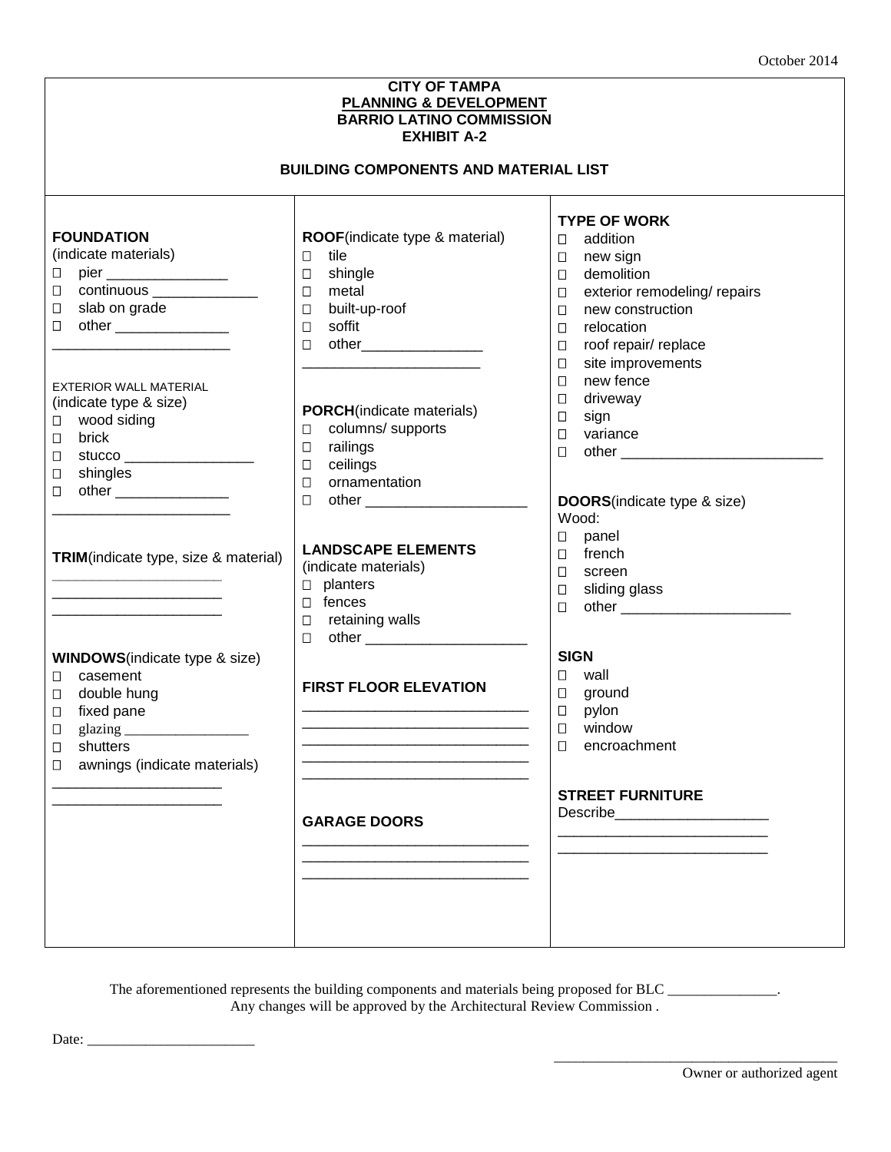| <b>CITY OF TAMPA</b><br><b>PLANNING &amp; DEVELOPMENT</b><br><b>BARRIO LATINO COMMISSION</b><br><b>EXHIBIT A-2</b><br><b>BUILDING COMPONENTS AND MATERIAL LIST</b>                                                                                                                                                                                                                            |                                                                                                                                                                                                                                                                                                                                                                                                  |                                                                                                                                                                                                                                                                                                                                                                                                                                                                    |  |  |  |  |
|-----------------------------------------------------------------------------------------------------------------------------------------------------------------------------------------------------------------------------------------------------------------------------------------------------------------------------------------------------------------------------------------------|--------------------------------------------------------------------------------------------------------------------------------------------------------------------------------------------------------------------------------------------------------------------------------------------------------------------------------------------------------------------------------------------------|--------------------------------------------------------------------------------------------------------------------------------------------------------------------------------------------------------------------------------------------------------------------------------------------------------------------------------------------------------------------------------------------------------------------------------------------------------------------|--|--|--|--|
|                                                                                                                                                                                                                                                                                                                                                                                               |                                                                                                                                                                                                                                                                                                                                                                                                  |                                                                                                                                                                                                                                                                                                                                                                                                                                                                    |  |  |  |  |
| <b>FOUNDATION</b><br>(indicate materials)<br>pier __________________<br>$\Box$<br>continuous ________________<br>$\Box$<br>slab on grade<br>$\Box$<br>other _________________<br>$\Box$<br><b>EXTERIOR WALL MATERIAL</b><br>(indicate type & size)<br>wood siding<br>Ц<br>brick<br>$\Box$<br>Ц<br>shingles<br>$\Box$<br>other __________________<br>□<br>TRIM(indicate type, size & material) | ROOF(indicate type & material)<br>tile<br>$\Box$<br>shingle<br>□<br>metal<br>$\Box$<br>built-up-roof<br>$\Box$<br>soffit<br>$\Box$<br>$\Box$<br><b>PORCH</b> (indicate materials)<br>columns/ supports<br>□<br>railings<br>$\Box$<br>ceilings<br>□<br>ornamentation<br>$\Box$<br>$\Box$<br>other _______________________<br><b>LANDSCAPE ELEMENTS</b><br>(indicate materials)<br>$\Box$ planters | <b>TYPE OF WORK</b><br>addition<br>$\Box$<br>new sign<br>$\Box$<br>demolition<br>$\Box$<br>exterior remodeling/ repairs<br>$\Box$<br>new construction<br>$\Box$<br>relocation<br>$\Box$<br>roof repair/ replace<br>$\Box$<br>site improvements<br>$\Box$<br>new fence<br>$\Box$<br>driveway<br>$\Box$<br>sign<br>$\Box$<br>variance<br>$\Box$<br>$\Box$<br><b>DOORS</b> (indicate type & size)<br>Wood:<br>$\Box$<br>panel<br>french<br>$\Box$<br>$\Box$<br>screen |  |  |  |  |
| <b>WINDOWS</b> (indicate type & size)<br>casement<br>Ц<br>double hung<br>□<br>fixed pane<br>0<br>glazing_<br>$\Box$<br>shutters<br>□<br>awnings (indicate materials)<br>□                                                                                                                                                                                                                     | $\Box$ fences<br>retaining walls<br>$\Box$<br>other _______________________<br>0<br><b>FIRST FLOOR ELEVATION</b>                                                                                                                                                                                                                                                                                 | sliding glass<br>□<br>$\Box$<br><b>SIGN</b><br>wall<br>$\Box$<br>ground<br>$\Box$                                                                                                                                                                                                                                                                                                                                                                                  |  |  |  |  |
|                                                                                                                                                                                                                                                                                                                                                                                               |                                                                                                                                                                                                                                                                                                                                                                                                  | pylon<br>$\Box$<br>$\Box$<br>window<br>$\Box$<br>encroachment<br><b>STREET FURNITURE</b>                                                                                                                                                                                                                                                                                                                                                                           |  |  |  |  |
|                                                                                                                                                                                                                                                                                                                                                                                               | <b>GARAGE DOORS</b>                                                                                                                                                                                                                                                                                                                                                                              | Describe________________________                                                                                                                                                                                                                                                                                                                                                                                                                                   |  |  |  |  |

The aforementioned represents the building components and materials being proposed for BLC \_\_\_\_\_\_\_\_\_\_\_\_\_\_\_. Any changes will be approved by the Architectural Review Commission .

Date: \_\_\_\_\_\_\_\_\_\_\_\_\_\_\_\_\_\_\_\_\_\_\_

\_\_\_\_\_\_\_\_\_\_\_\_\_\_\_\_\_\_\_\_\_\_\_\_\_\_\_\_\_\_\_\_\_\_\_\_\_\_\_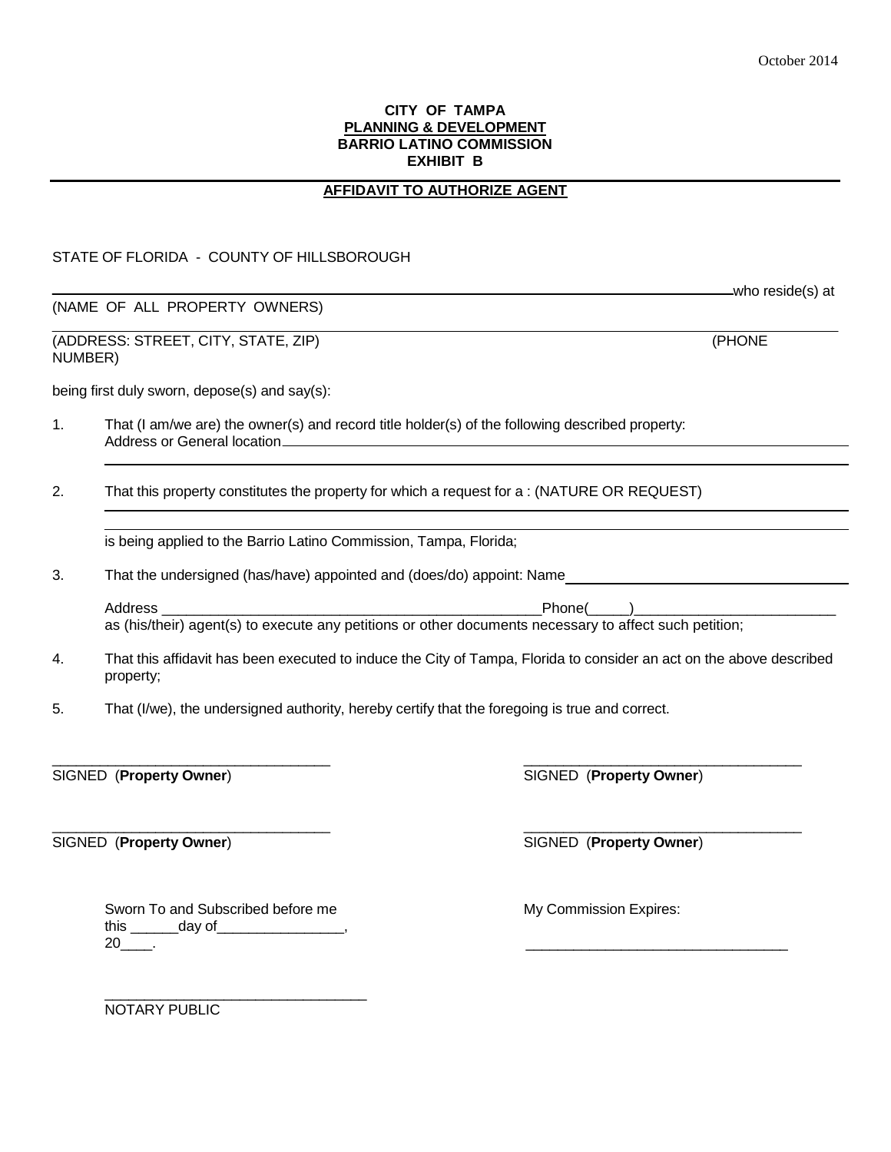## **CITY OF TAMPA PLANNING & DEVELOPMENT BARRIO LATINO COMMISSION EXHIBIT B**

# **AFFIDAVIT TO AUTHORIZE AGENT**

# STATE OF FLORIDA - COUNTY OF HILLSBOROUGH

(NAME OF ALL PROPERTY OWNERS)

(ADDRESS: STREET, CITY, STATE, ZIP) (PHONE NUMBER)

being first duly sworn, depose(s) and say(s):

1. That (I am/we are) the owner(s) and record title holder(s) of the following described property: Address or General location

2. That this property constitutes the property for which a request for a : (NATURE OR REQUEST)

is being applied to the Barrio Latino Commission, Tampa, Florida;

3. That the undersigned (has/have) appointed and (does/do) appoint: Name

Address \_\_\_\_\_\_\_\_\_\_\_\_\_\_\_\_\_\_\_\_\_\_\_\_\_\_\_\_\_\_\_\_\_\_\_\_\_\_\_\_\_\_\_\_\_\_\_Phone(\_\_\_\_\_)\_\_\_\_\_\_\_\_\_\_\_\_\_\_\_\_\_\_\_\_\_\_\_\_\_ as (his/their) agent(s) to execute any petitions or other documents necessary to affect such petition;

4. That this affidavit has been executed to induce the City of Tampa, Florida to consider an act on the above described property;

\_\_\_\_\_\_\_\_\_\_\_\_\_\_\_\_\_\_\_\_\_\_\_\_\_\_\_\_\_\_\_\_\_\_\_ \_\_\_\_\_\_\_\_\_\_\_\_\_\_\_\_\_\_\_\_\_\_\_\_\_\_\_\_\_\_\_\_\_\_\_

 $\frac{1}{2}$  ,  $\frac{1}{2}$  ,  $\frac{1}{2}$  ,  $\frac{1}{2}$  ,  $\frac{1}{2}$  ,  $\frac{1}{2}$  ,  $\frac{1}{2}$  ,  $\frac{1}{2}$  ,  $\frac{1}{2}$  ,  $\frac{1}{2}$  ,  $\frac{1}{2}$  ,  $\frac{1}{2}$  ,  $\frac{1}{2}$  ,  $\frac{1}{2}$  ,  $\frac{1}{2}$  ,  $\frac{1}{2}$  ,  $\frac{1}{2}$  ,  $\frac{1}{2}$  ,  $\frac{1$ 

5. That (I/we), the undersigned authority, hereby certify that the foregoing is true and correct.

SIGNED (**Property Owner**) SIGNED (**Property Owner**)

Sworn To and Subscribed before me My Commission Expires: this \_\_\_\_\_\_\_\_ day of\_\_\_\_\_\_\_\_\_\_\_\_\_\_\_\_, 20\_\_\_\_. \_\_\_\_\_\_\_\_\_\_\_\_\_\_\_\_\_\_\_\_\_\_\_\_\_\_\_\_\_\_\_\_\_

SIGNED (**Property Owner**) SIGNED (**Property Owner**)

\_\_\_\_\_\_\_\_\_\_\_\_\_\_\_\_\_\_\_\_\_\_\_\_\_\_\_\_\_\_\_\_\_ NOTARY PUBLIC

who reside(s) at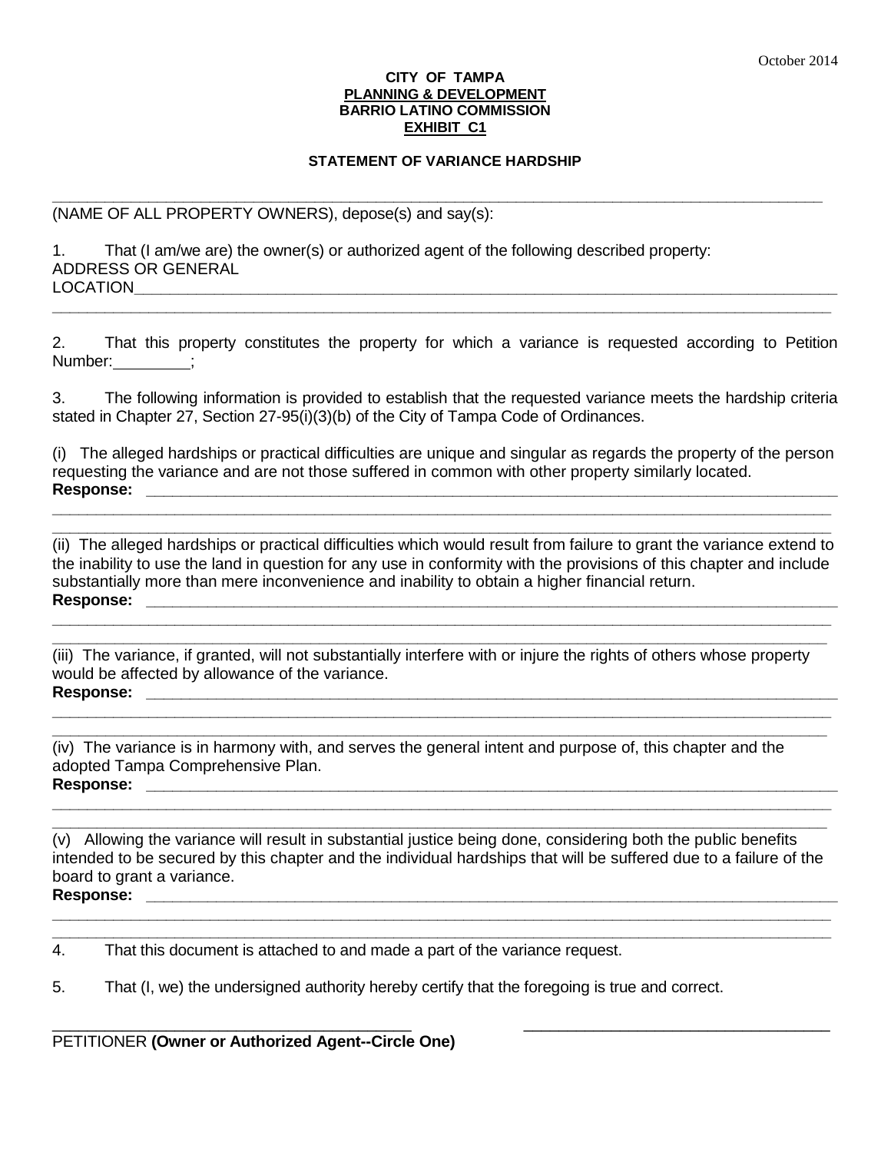#### **CITY OF TAMPA PLANNING & DEVELOPMENT BARRIO LATINO COMMISSION EXHIBIT C1**

# **STATEMENT OF VARIANCE HARDSHIP**

**\_\_\_\_\_\_\_\_\_\_\_\_\_\_\_\_\_\_\_\_\_\_\_\_\_\_\_\_\_\_\_\_\_\_\_\_\_\_\_\_\_\_\_\_\_\_\_\_\_\_\_\_\_\_\_\_\_\_\_\_\_\_\_\_\_\_\_\_\_\_\_\_\_\_\_\_\_\_\_\_\_\_\_\_\_\_\_\_**

(NAME OF ALL PROPERTY OWNERS), depose(s) and say(s):

1. That (I am/we are) the owner(s) or authorized agent of the following described property: ADDRESS OR GENERAL LOCATION**\_\_\_\_\_\_\_\_\_\_\_\_\_\_\_\_\_\_\_\_\_\_\_\_\_\_\_\_\_\_\_\_\_\_\_\_\_\_\_\_\_\_\_\_\_\_\_\_\_\_\_\_\_\_\_\_\_\_\_\_\_\_\_\_\_\_\_\_\_\_\_\_\_\_\_\_\_\_\_**

2. That this property constitutes the property for which a variance is requested according to Petition Number: ;

**\_\_\_\_\_\_\_\_\_\_\_\_\_\_\_\_\_\_\_\_\_\_\_\_\_\_\_\_\_\_\_\_\_\_\_\_\_\_\_\_\_\_\_\_\_\_\_\_\_\_\_\_\_\_\_\_\_\_\_\_\_\_\_\_\_\_\_\_\_\_\_\_\_\_\_\_\_\_\_\_\_\_\_\_\_\_\_\_\_**

3. The following information is provided to establish that the requested variance meets the hardship criteria stated in Chapter 27, Section 27-95(i)(3)(b) of the City of Tampa Code of Ordinances.

(i) The alleged hardships or practical difficulties are unique and singular as regards the property of the person requesting the variance and are not those suffered in common with other property similarly located.  $\sf{Response:}$ 

**\_\_\_\_\_\_\_\_\_\_\_\_\_\_\_\_\_\_\_\_\_\_\_\_\_\_\_\_\_\_\_\_\_\_\_\_\_\_\_\_\_\_\_\_\_\_\_\_\_\_\_\_\_\_\_\_\_\_\_\_\_\_\_\_\_\_\_\_\_\_\_\_\_\_\_\_\_\_\_\_\_\_\_\_\_\_\_\_\_ \_\_\_\_\_\_\_\_\_\_\_\_\_\_\_\_\_\_\_\_\_\_\_\_\_\_\_\_\_\_\_\_\_\_\_\_\_\_\_\_\_\_\_\_\_\_\_\_\_\_\_\_\_\_\_\_\_\_\_\_\_\_\_\_\_\_\_\_\_\_\_\_\_\_\_\_\_\_\_\_\_\_\_\_\_\_\_\_\_**

(ii) The alleged hardships or practical difficulties which would result from failure to grant the variance extend to the inability to use the land in question for any use in conformity with the provisions of this chapter and include substantially more than mere inconvenience and inability to obtain a higher financial return. **Response: \_\_\_\_\_\_\_\_\_\_\_\_\_\_\_\_\_\_\_\_\_\_\_\_\_\_\_\_\_\_\_\_\_\_\_\_\_\_\_\_\_\_\_\_\_\_\_\_\_\_\_\_\_\_\_\_\_\_\_\_\_\_\_\_\_\_\_\_\_\_\_\_\_\_\_\_\_\_\_** 

**\_\_\_\_\_\_\_\_\_\_\_\_\_\_\_\_\_\_\_\_\_\_\_\_\_\_\_\_\_\_\_\_\_\_\_\_\_\_\_\_\_\_\_\_\_\_\_\_\_\_\_\_\_\_\_\_\_\_\_\_\_\_\_\_\_\_\_\_\_\_\_\_\_\_\_\_\_\_\_\_\_\_\_\_\_\_\_\_\_ \_\_\_\_\_\_\_\_\_\_\_\_\_\_\_\_\_\_\_\_\_\_\_\_\_\_\_\_\_\_\_\_\_\_\_\_\_\_\_\_\_\_\_\_\_\_\_\_\_\_\_\_\_\_\_\_\_\_\_\_\_\_\_\_\_\_\_\_\_\_\_\_\_\_\_\_\_\_\_\_\_\_\_\_\_\_\_**

(iii) The variance, if granted, will not substantially interfere with or injure the rights of others whose property would be affected by allowance of the variance. **Response: \_\_\_\_\_\_\_\_\_\_\_\_\_\_\_\_\_\_\_\_\_\_\_\_\_\_\_\_\_\_\_\_\_\_\_\_\_\_\_\_\_\_\_\_\_\_\_\_\_\_\_\_\_\_\_\_\_\_\_\_\_\_\_\_\_\_\_\_\_\_\_\_\_\_\_\_\_\_\_** 

**\_\_\_\_\_\_\_\_\_\_\_\_\_\_\_\_\_\_\_\_\_\_\_\_\_\_\_\_\_\_\_\_\_\_\_\_\_\_\_\_\_\_\_\_\_\_\_\_\_\_\_\_\_\_\_\_\_\_\_\_\_\_\_\_\_\_\_\_\_\_\_\_\_\_\_\_\_\_\_\_\_\_\_\_\_\_\_\_\_ \_\_\_\_\_\_\_\_\_\_\_\_\_\_\_\_\_\_\_\_\_\_\_\_\_\_\_\_\_\_\_\_\_\_\_\_\_\_\_\_\_\_\_\_\_\_\_\_\_\_\_\_\_\_\_\_\_\_\_\_\_\_\_\_\_\_\_\_\_\_\_\_\_\_\_\_\_\_\_\_\_\_\_\_\_\_\_**

(iv) The variance is in harmony with, and serves the general intent and purpose of, this chapter and the adopted Tampa Comprehensive Plan. Response: **with a set of the set of the set of the set of the set of the set of the set of the set of the set of the set of the set of the set of the set of the set of the set of the set of the set of the set of the set of** 

(v) Allowing the variance will result in substantial justice being done, considering both the public benefits intended to be secured by this chapter and the individual hardships that will be suffered due to a failure of the board to grant a variance. **Response: \_\_\_\_\_\_\_\_\_\_\_\_\_\_\_\_\_\_\_\_\_\_\_\_\_\_\_\_\_\_\_\_\_\_\_\_\_\_\_\_\_\_\_\_\_\_\_\_\_\_\_\_\_\_\_\_\_\_\_\_\_\_\_\_\_\_\_\_\_\_\_\_\_\_\_\_\_\_\_** 

**\_\_\_\_\_\_\_\_\_\_\_\_\_\_\_\_\_\_\_\_\_\_\_\_\_\_\_\_\_\_\_\_\_\_\_\_\_\_\_\_\_\_\_\_\_\_\_\_\_\_\_\_\_\_\_\_\_\_\_\_\_\_\_\_\_\_\_\_\_\_\_\_\_\_\_\_\_\_\_\_\_\_\_\_\_\_\_\_\_**

\_\_\_\_\_\_\_\_\_\_\_\_\_\_\_\_\_\_\_\_\_\_\_\_\_\_\_\_\_\_\_\_\_\_\_\_\_\_\_\_\_ \_\_\_\_\_\_\_\_\_\_\_\_\_\_\_\_\_\_\_\_\_\_\_\_\_\_\_\_\_\_\_\_\_\_\_

**\_\_\_\_\_\_\_\_\_\_\_\_\_\_\_\_\_\_\_\_\_\_\_\_\_\_\_\_\_\_\_\_\_\_\_\_\_\_\_\_\_\_\_\_\_\_\_\_\_\_\_\_\_\_\_\_\_\_\_\_\_\_\_\_\_\_\_\_\_\_\_\_\_\_\_\_\_\_\_\_\_\_\_\_\_\_\_\_\_ \_\_\_\_\_\_\_\_\_\_\_\_\_\_\_\_\_\_\_\_\_\_\_\_\_\_\_\_\_\_\_\_\_\_\_\_\_\_\_\_\_\_\_\_\_\_\_\_\_\_\_\_\_\_\_\_\_\_\_\_\_\_\_\_\_\_\_\_\_\_\_\_\_\_\_\_\_\_\_\_\_\_\_\_\_\_\_**

# **\_\_\_\_\_\_\_\_\_\_\_\_\_\_\_\_\_\_\_\_\_\_\_\_\_\_\_\_\_\_\_\_\_\_\_\_\_\_\_\_\_\_\_\_\_\_\_\_\_\_\_\_\_\_\_\_\_\_\_\_\_\_\_\_\_\_\_\_\_\_\_\_\_\_\_\_\_\_\_\_\_\_\_\_\_\_\_\_\_**

4. That this document is attached to and made a part of the variance request.

5. That (I, we) the undersigned authority hereby certify that the foregoing is true and correct.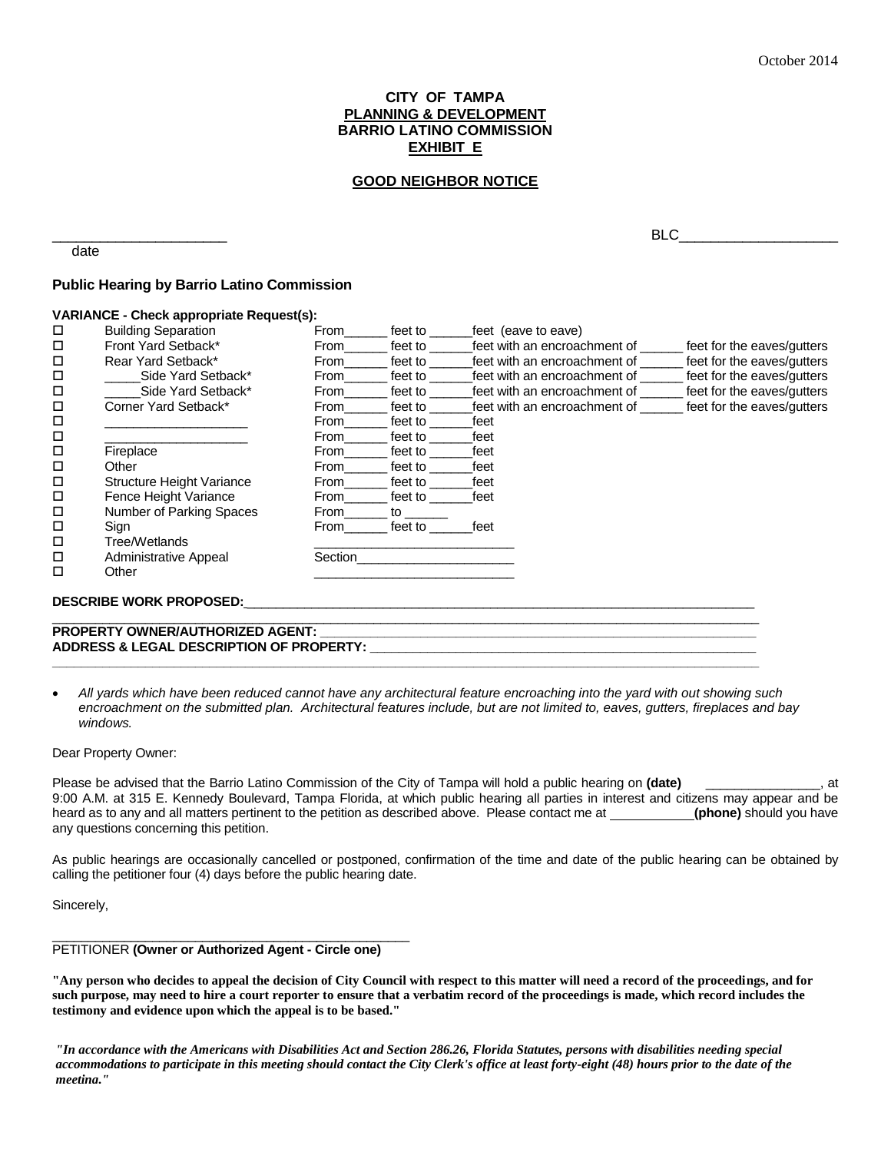## **CITY OF TAMPA PLANNING & DEVELOPMENT BARRIO LATINO COMMISSION EXHIBIT E**

## **GOOD NEIGHBOR NOTICE**

date

 $BLC$ 

#### **Public Hearing by Barrio Latino Commission**

#### **VARIANCE - Check appropriate Request(s):**

| □      | <b>Building Separation</b>                          | From    | feet to | feet (eave to eave)          |                            |
|--------|-----------------------------------------------------|---------|---------|------------------------------|----------------------------|
| □      | Front Yard Setback*                                 | From    | feet to | feet with an encroachment of | feet for the eaves/gutters |
| □      | Rear Yard Setback*                                  | From    | feet to | feet with an encroachment of | feet for the eaves/gutters |
| $\Box$ | Side Yard Setback*                                  | From    | feet to | feet with an encroachment of | feet for the eaves/gutters |
| □      | Side Yard Setback*                                  | From    | feet to | feet with an encroachment of | feet for the eaves/gutters |
| □      | Corner Yard Setback*                                | From    | feet to | feet with an encroachment of | feet for the eaves/gutters |
| □      |                                                     | From    | feet to | feet                         |                            |
| $\Box$ |                                                     | From    | feet to | feet                         |                            |
| □      | Fireplace                                           | From    | feet to | feet                         |                            |
| □      | Other                                               | From    | feet to | feet                         |                            |
| □      | <b>Structure Height Variance</b>                    | From    | feet to | feet                         |                            |
| □      | Fence Height Variance                               | From    | feet to | feet                         |                            |
| $\Box$ | Number of Parking Spaces                            | From    | to      |                              |                            |
| П      | Sign                                                | From    | feet to | feet                         |                            |
| □      | Tree/Wetlands                                       |         |         |                              |                            |
| □      | Administrative Appeal                               | Section |         |                              |                            |
| □      | Other                                               |         |         |                              |                            |
|        |                                                     |         |         |                              |                            |
|        | <b>DESCRIBE WORK PROPOSED:</b>                      |         |         |                              |                            |
|        | <b>PROPERTY OWNER/AUTHORIZED AGENT:</b>             |         |         |                              |                            |
|        | <b>ADDRESS &amp; LEGAL DESCRIPTION OF PROPERTY:</b> |         |         |                              |                            |
|        |                                                     |         |         |                              |                            |

 *All yards which have been reduced cannot have any architectural feature encroaching into the yard with out showing such encroachment on the submitted plan. Architectural features include, but are not limited to, eaves, gutters, fireplaces and bay windows.*

**\_\_\_\_\_\_\_\_\_\_\_\_\_\_\_\_\_\_\_\_\_\_\_\_\_\_\_\_\_\_\_\_\_\_\_\_\_\_\_\_\_\_\_\_\_\_\_\_\_\_\_\_\_\_\_\_\_\_\_\_\_\_\_\_\_\_\_\_\_\_\_\_\_\_\_\_\_\_\_\_\_\_\_\_\_\_\_\_\_\_\_\_\_\_\_\_\_\_\_**

#### Dear Property Owner:

Please be advised that the Barrio Latino Commission of the City of Tampa will hold a public hearing on **(date)** \_\_\_\_\_\_\_\_\_\_\_\_\_\_\_\_, at 9:00 A.M. at 315 E. Kennedy Boulevard, Tampa Florida, at which public hearing all parties in interest and citizens may appear and be heard as to any and all matters pertinent to the petition as described above. Please contact me at **(phone)** should you have any questions concerning this petition.

As public hearings are occasionally cancelled or postponed, confirmation of the time and date of the public hearing can be obtained by calling the petitioner four (4) days before the public hearing date.

Sincerely,

#### PETITIONER **(Owner or Authorized Agent - Circle one)**

\_\_\_\_\_\_\_\_\_\_\_\_\_\_\_\_\_\_\_\_\_\_\_\_\_\_\_\_\_\_\_\_\_\_\_\_\_\_\_\_\_\_\_\_\_\_\_\_\_\_

**"Any person who decides to appeal the decision of City Council with respect to this matter will need a record of the proceedings, and for such purpose, may need to hire a court reporter to ensure that a verbatim record of the proceedings is made, which record includes the testimony and evidence upon which the appeal is to be based."**

*"In accordance with the Americans with Disabilities Act and Section 286.26, Florida Statutes, persons with disabilities needing special accommodations to participate in this meeting should contact the City Clerk's office at least forty-eight (48) hours prior to the date of the meeting."*